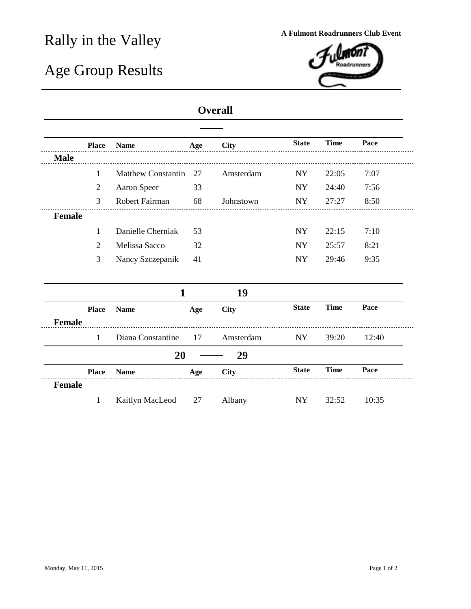## Rally in the Valley **A Fulmont Roadrunners Club Event**

## Age Group Results



## **Overall**

|               | <b>Place</b>   | <b>Name</b>               | Age | <b>City</b> | <b>State</b> | <b>Time</b> | Pace  |
|---------------|----------------|---------------------------|-----|-------------|--------------|-------------|-------|
| <b>Male</b>   |                |                           |     |             |              |             |       |
|               | 1              | <b>Matthew Constantin</b> | 27  | Amsterdam   | NY           | 22:05       | 7:07  |
|               | $\overline{2}$ | Aaron Speer               | 33  |             | <b>NY</b>    | 24:40       | 7:56  |
|               | 3              | Robert Fairman            | 68  | Johnstown   | NY           | 27:27       | 8:50  |
| <b>Female</b> |                |                           |     |             |              |             |       |
|               | 1              | Danielle Cherniak         | 53  |             | <b>NY</b>    | 22:15       | 7:10  |
|               | 2              | Melissa Sacco             | 32  |             | NY.          | 25:57       | 8:21  |
|               | 3              | Nancy Szczepanik          | 41  |             | NY           | 29:46       | 9:35  |
|               |                |                           |     |             |              |             |       |
|               |                | 1                         |     | 19          |              |             |       |
|               | <b>Place</b>   | <b>Name</b>               | Age | <b>City</b> | <b>State</b> | <b>Time</b> | Pace  |
| <b>Female</b> |                |                           |     |             |              |             |       |
|               | $\mathbf{1}$   | Diana Constantine         | 17  | Amsterdam   | NY           | 39:20       | 12:40 |
|               |                | 20                        |     | 29          |              |             |       |
|               | <b>Place</b>   | <b>Name</b>               | Age | <b>City</b> | <b>State</b> | <b>Time</b> | Pace  |
| <b>Female</b> |                |                           |     |             |              |             |       |
|               | 1              | Kaitlyn MacLeod           | 27  | Albany      | NY           | 32:52       | 10:35 |